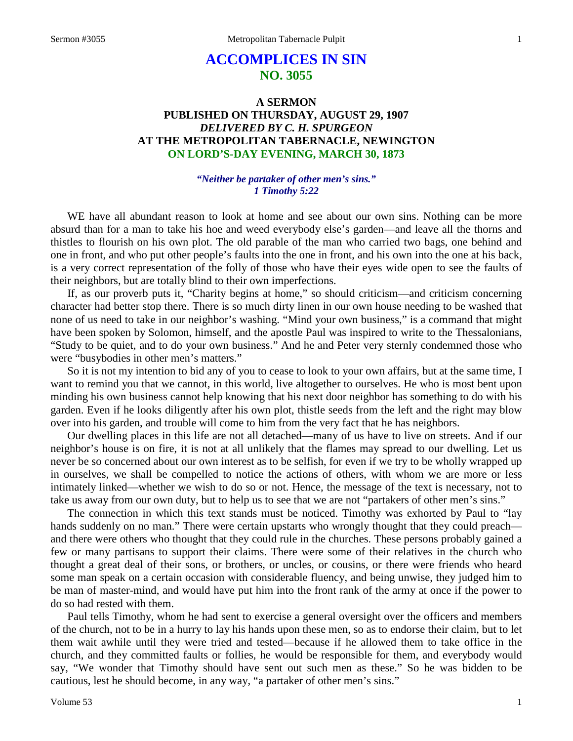# **ACCOMPLICES IN SIN NO. 3055**

# **A SERMON PUBLISHED ON THURSDAY, AUGUST 29, 1907** *DELIVERED BY C. H. SPURGEON* **AT THE METROPOLITAN TABERNACLE, NEWINGTON ON LORD'S-DAY EVENING, MARCH 30, 1873**

## *"Neither be partaker of other men's sins." 1 Timothy 5:22*

WE have all abundant reason to look at home and see about our own sins. Nothing can be more absurd than for a man to take his hoe and weed everybody else's garden—and leave all the thorns and thistles to flourish on his own plot. The old parable of the man who carried two bags, one behind and one in front, and who put other people's faults into the one in front, and his own into the one at his back, is a very correct representation of the folly of those who have their eyes wide open to see the faults of their neighbors, but are totally blind to their own imperfections.

If, as our proverb puts it, "Charity begins at home," so should criticism—and criticism concerning character had better stop there. There is so much dirty linen in our own house needing to be washed that none of us need to take in our neighbor's washing. "Mind your own business," is a command that might have been spoken by Solomon, himself, and the apostle Paul was inspired to write to the Thessalonians, "Study to be quiet, and to do your own business." And he and Peter very sternly condemned those who were "busybodies in other men's matters."

So it is not my intention to bid any of you to cease to look to your own affairs, but at the same time, I want to remind you that we cannot, in this world, live altogether to ourselves. He who is most bent upon minding his own business cannot help knowing that his next door neighbor has something to do with his garden. Even if he looks diligently after his own plot, thistle seeds from the left and the right may blow over into his garden, and trouble will come to him from the very fact that he has neighbors.

Our dwelling places in this life are not all detached—many of us have to live on streets. And if our neighbor's house is on fire, it is not at all unlikely that the flames may spread to our dwelling. Let us never be so concerned about our own interest as to be selfish, for even if we try to be wholly wrapped up in ourselves, we shall be compelled to notice the actions of others, with whom we are more or less intimately linked—whether we wish to do so or not. Hence, the message of the text is necessary, not to take us away from our own duty, but to help us to see that we are not "partakers of other men's sins."

The connection in which this text stands must be noticed. Timothy was exhorted by Paul to "lay hands suddenly on no man." There were certain upstarts who wrongly thought that they could preach and there were others who thought that they could rule in the churches. These persons probably gained a few or many partisans to support their claims. There were some of their relatives in the church who thought a great deal of their sons, or brothers, or uncles, or cousins, or there were friends who heard some man speak on a certain occasion with considerable fluency, and being unwise, they judged him to be man of master-mind, and would have put him into the front rank of the army at once if the power to do so had rested with them.

Paul tells Timothy, whom he had sent to exercise a general oversight over the officers and members of the church, not to be in a hurry to lay his hands upon these men, so as to endorse their claim, but to let them wait awhile until they were tried and tested—because if he allowed them to take office in the church, and they committed faults or follies, he would be responsible for them, and everybody would say, "We wonder that Timothy should have sent out such men as these." So he was bidden to be cautious, lest he should become, in any way, "a partaker of other men's sins."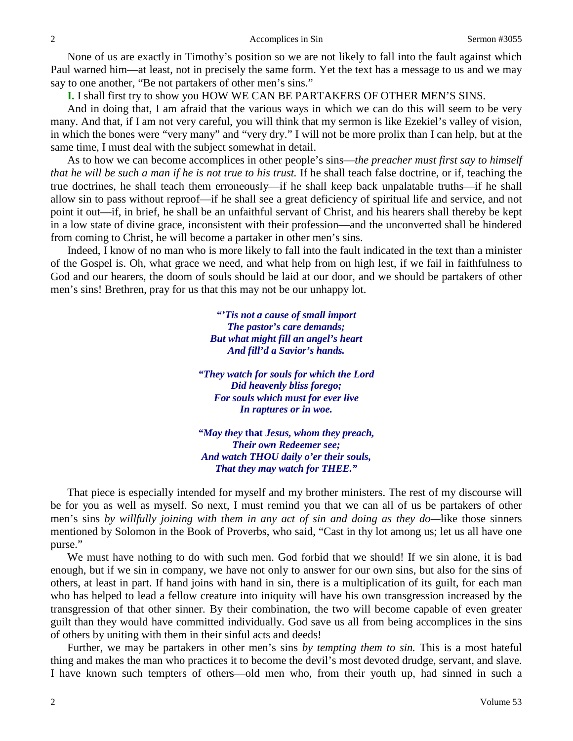None of us are exactly in Timothy's position so we are not likely to fall into the fault against which Paul warned him—at least, not in precisely the same form. Yet the text has a message to us and we may say to one another, "Be not partakers of other men's sins."

**I.** I shall first try to show you HOW WE CAN BE PARTAKERS OF OTHER MEN'S SINS.

And in doing that, I am afraid that the various ways in which we can do this will seem to be very many. And that, if I am not very careful, you will think that my sermon is like Ezekiel's valley of vision, in which the bones were "very many" and "very dry." I will not be more prolix than I can help, but at the same time, I must deal with the subject somewhat in detail.

As to how we can become accomplices in other people's sins—*the preacher must first say to himself that he will be such a man if he is not true to his trust.* If he shall teach false doctrine, or if, teaching the true doctrines, he shall teach them erroneously—if he shall keep back unpalatable truths—if he shall allow sin to pass without reproof—if he shall see a great deficiency of spiritual life and service, and not point it out—if, in brief, he shall be an unfaithful servant of Christ, and his hearers shall thereby be kept in a low state of divine grace, inconsistent with their profession—and the unconverted shall be hindered from coming to Christ, he will become a partaker in other men's sins.

Indeed, I know of no man who is more likely to fall into the fault indicated in the text than a minister of the Gospel is. Oh, what grace we need, and what help from on high lest, if we fail in faithfulness to God and our hearers, the doom of souls should be laid at our door, and we should be partakers of other men's sins! Brethren, pray for us that this may not be our unhappy lot.

> *"'Tis not a cause of small import The pastor's care demands; But what might fill an angel's heart And fill'd a Savior's hands.*

*"They watch for souls for which the Lord Did heavenly bliss forego; For souls which must for ever live In raptures or in woe.*

*"May they* **that** *Jesus, whom they preach, Their own Redeemer see; And watch THOU daily o'er their souls, That they may watch for THEE."*

That piece is especially intended for myself and my brother ministers. The rest of my discourse will be for you as well as myself. So next, I must remind you that we can all of us be partakers of other men's sins *by willfully joining with them in any act of sin and doing as they do—*like those sinners mentioned by Solomon in the Book of Proverbs, who said, "Cast in thy lot among us; let us all have one purse."

We must have nothing to do with such men. God forbid that we should! If we sin alone, it is bad enough, but if we sin in company, we have not only to answer for our own sins, but also for the sins of others, at least in part. If hand joins with hand in sin, there is a multiplication of its guilt, for each man who has helped to lead a fellow creature into iniquity will have his own transgression increased by the transgression of that other sinner. By their combination, the two will become capable of even greater guilt than they would have committed individually. God save us all from being accomplices in the sins of others by uniting with them in their sinful acts and deeds!

Further, we may be partakers in other men's sins *by tempting them to sin.* This is a most hateful thing and makes the man who practices it to become the devil's most devoted drudge, servant, and slave. I have known such tempters of others—old men who, from their youth up, had sinned in such a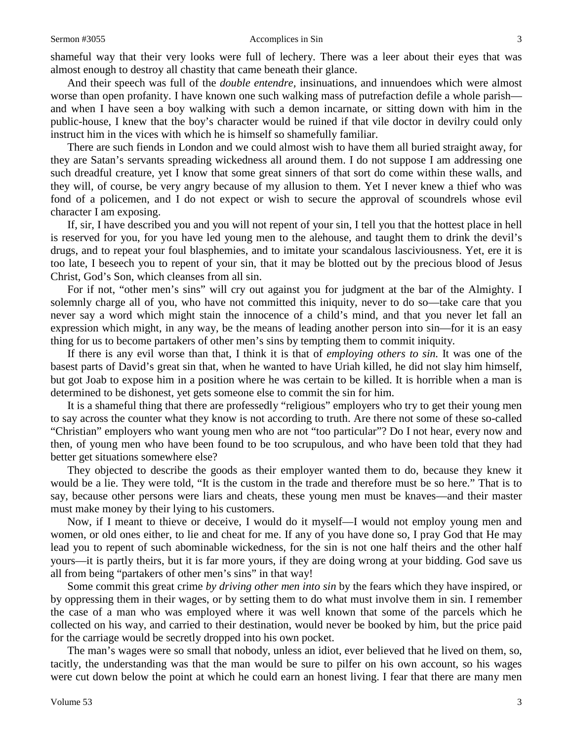shameful way that their very looks were full of lechery. There was a leer about their eyes that was almost enough to destroy all chastity that came beneath their glance.

And their speech was full of the *double entendre,* insinuations, and innuendoes which were almost worse than open profanity. I have known one such walking mass of putrefaction defile a whole parish and when I have seen a boy walking with such a demon incarnate, or sitting down with him in the public-house, I knew that the boy's character would be ruined if that vile doctor in devilry could only instruct him in the vices with which he is himself so shamefully familiar.

There are such fiends in London and we could almost wish to have them all buried straight away, for they are Satan's servants spreading wickedness all around them. I do not suppose I am addressing one such dreadful creature, yet I know that some great sinners of that sort do come within these walls, and they will, of course, be very angry because of my allusion to them. Yet I never knew a thief who was fond of a policemen, and I do not expect or wish to secure the approval of scoundrels whose evil character I am exposing.

If, sir, I have described you and you will not repent of your sin, I tell you that the hottest place in hell is reserved for you, for you have led young men to the alehouse, and taught them to drink the devil's drugs, and to repeat your foul blasphemies, and to imitate your scandalous lasciviousness. Yet, ere it is too late, I beseech you to repent of your sin, that it may be blotted out by the precious blood of Jesus Christ, God's Son, which cleanses from all sin.

For if not, "other men's sins" will cry out against you for judgment at the bar of the Almighty. I solemnly charge all of you, who have not committed this iniquity, never to do so—take care that you never say a word which might stain the innocence of a child's mind, and that you never let fall an expression which might, in any way, be the means of leading another person into sin—for it is an easy thing for us to become partakers of other men's sins by tempting them to commit iniquity.

If there is any evil worse than that, I think it is that of *employing others to sin.* It was one of the basest parts of David's great sin that, when he wanted to have Uriah killed, he did not slay him himself, but got Joab to expose him in a position where he was certain to be killed. It is horrible when a man is determined to be dishonest, yet gets someone else to commit the sin for him.

It is a shameful thing that there are professedly "religious" employers who try to get their young men to say across the counter what they know is not according to truth. Are there not some of these so-called "Christian" employers who want young men who are not "too particular"? Do I not hear, every now and then, of young men who have been found to be too scrupulous, and who have been told that they had better get situations somewhere else?

They objected to describe the goods as their employer wanted them to do, because they knew it would be a lie. They were told, "It is the custom in the trade and therefore must be so here." That is to say, because other persons were liars and cheats, these young men must be knaves—and their master must make money by their lying to his customers.

Now, if I meant to thieve or deceive, I would do it myself—I would not employ young men and women, or old ones either, to lie and cheat for me. If any of you have done so, I pray God that He may lead you to repent of such abominable wickedness, for the sin is not one half theirs and the other half yours—it is partly theirs, but it is far more yours, if they are doing wrong at your bidding. God save us all from being "partakers of other men's sins" in that way!

Some commit this great crime *by driving other men into sin* by the fears which they have inspired, or by oppressing them in their wages, or by setting them to do what must involve them in sin. I remember the case of a man who was employed where it was well known that some of the parcels which he collected on his way, and carried to their destination, would never be booked by him, but the price paid for the carriage would be secretly dropped into his own pocket.

The man's wages were so small that nobody, unless an idiot, ever believed that he lived on them, so, tacitly, the understanding was that the man would be sure to pilfer on his own account, so his wages were cut down below the point at which he could earn an honest living. I fear that there are many men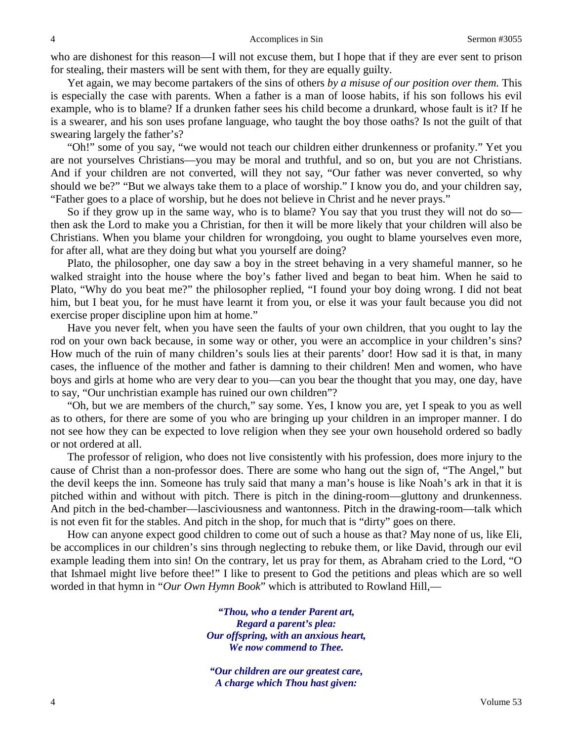who are dishonest for this reason—I will not excuse them, but I hope that if they are ever sent to prison for stealing, their masters will be sent with them, for they are equally guilty.

Yet again, we may become partakers of the sins of others *by a misuse of our position over them.* This is especially the case with parents. When a father is a man of loose habits, if his son follows his evil example, who is to blame? If a drunken father sees his child become a drunkard, whose fault is it? If he is a swearer, and his son uses profane language, who taught the boy those oaths? Is not the guilt of that swearing largely the father's?

"Oh!" some of you say, "we would not teach our children either drunkenness or profanity." Yet you are not yourselves Christians—you may be moral and truthful, and so on, but you are not Christians. And if your children are not converted, will they not say, "Our father was never converted, so why should we be?" "But we always take them to a place of worship." I know you do, and your children say, "Father goes to a place of worship, but he does not believe in Christ and he never prays."

So if they grow up in the same way, who is to blame? You say that you trust they will not do so then ask the Lord to make you a Christian, for then it will be more likely that your children will also be Christians. When you blame your children for wrongdoing, you ought to blame yourselves even more, for after all, what are they doing but what you yourself are doing?

Plato, the philosopher, one day saw a boy in the street behaving in a very shameful manner, so he walked straight into the house where the boy's father lived and began to beat him. When he said to Plato, "Why do you beat me?" the philosopher replied, "I found your boy doing wrong. I did not beat him, but I beat you, for he must have learnt it from you, or else it was your fault because you did not exercise proper discipline upon him at home."

Have you never felt, when you have seen the faults of your own children, that you ought to lay the rod on your own back because, in some way or other, you were an accomplice in your children's sins? How much of the ruin of many children's souls lies at their parents' door! How sad it is that, in many cases, the influence of the mother and father is damning to their children! Men and women, who have boys and girls at home who are very dear to you—can you bear the thought that you may, one day, have to say, "Our unchristian example has ruined our own children"?

"Oh, but we are members of the church," say some. Yes, I know you are, yet I speak to you as well as to others, for there are some of you who are bringing up your children in an improper manner. I do not see how they can be expected to love religion when they see your own household ordered so badly or not ordered at all.

The professor of religion, who does not live consistently with his profession, does more injury to the cause of Christ than a non-professor does. There are some who hang out the sign of, "The Angel," but the devil keeps the inn. Someone has truly said that many a man's house is like Noah's ark in that it is pitched within and without with pitch. There is pitch in the dining-room—gluttony and drunkenness. And pitch in the bed-chamber—lasciviousness and wantonness. Pitch in the drawing-room—talk which is not even fit for the stables. And pitch in the shop, for much that is "dirty" goes on there.

How can anyone expect good children to come out of such a house as that? May none of us, like Eli, be accomplices in our children's sins through neglecting to rebuke them, or like David, through our evil example leading them into sin! On the contrary, let us pray for them, as Abraham cried to the Lord, "O that Ishmael might live before thee!" I like to present to God the petitions and pleas which are so well worded in that hymn in "*Our Own Hymn Book*" which is attributed to Rowland Hill,—

> *"Thou, who a tender Parent art, Regard a parent's plea: Our offspring, with an anxious heart, We now commend to Thee.*

*"Our children are our greatest care, A charge which Thou hast given:*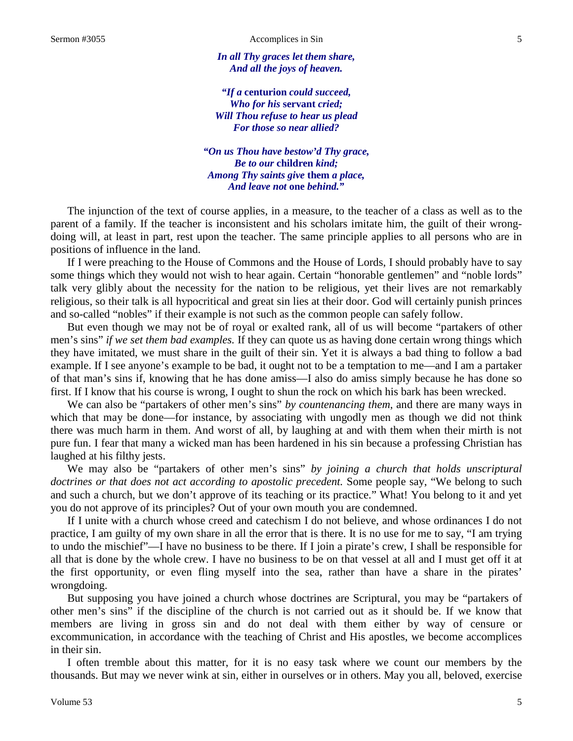*In all Thy graces let them share, And all the joys of heaven.*

*"If a* **centurion** *could succeed, Who for his* **servant** *cried; Will Thou refuse to hear us plead For those so near allied?*

*"On us Thou have bestow'd Thy grace, Be to our* **children** *kind; Among Thy saints give* **them** *a place, And leave not* **one** *behind."*

The injunction of the text of course applies, in a measure, to the teacher of a class as well as to the parent of a family. If the teacher is inconsistent and his scholars imitate him, the guilt of their wrongdoing will, at least in part, rest upon the teacher. The same principle applies to all persons who are in positions of influence in the land.

If I were preaching to the House of Commons and the House of Lords, I should probably have to say some things which they would not wish to hear again. Certain "honorable gentlemen" and "noble lords" talk very glibly about the necessity for the nation to be religious, yet their lives are not remarkably religious, so their talk is all hypocritical and great sin lies at their door. God will certainly punish princes and so-called "nobles" if their example is not such as the common people can safely follow.

But even though we may not be of royal or exalted rank, all of us will become "partakers of other men's sins" *if we set them bad examples.* If they can quote us as having done certain wrong things which they have imitated, we must share in the guilt of their sin. Yet it is always a bad thing to follow a bad example. If I see anyone's example to be bad, it ought not to be a temptation to me—and I am a partaker of that man's sins if, knowing that he has done amiss—I also do amiss simply because he has done so first. If I know that his course is wrong, I ought to shun the rock on which his bark has been wrecked.

We can also be "partakers of other men's sins" *by countenancing them*, and there are many ways in which that may be done—for instance, by associating with ungodly men as though we did not think there was much harm in them. And worst of all, by laughing at and with them when their mirth is not pure fun. I fear that many a wicked man has been hardened in his sin because a professing Christian has laughed at his filthy jests.

We may also be "partakers of other men's sins" *by joining a church that holds unscriptural doctrines or that does not act according to apostolic precedent.* Some people say, "We belong to such and such a church, but we don't approve of its teaching or its practice." What! You belong to it and yet you do not approve of its principles? Out of your own mouth you are condemned.

If I unite with a church whose creed and catechism I do not believe, and whose ordinances I do not practice, I am guilty of my own share in all the error that is there. It is no use for me to say, "I am trying to undo the mischief"—I have no business to be there. If I join a pirate's crew, I shall be responsible for all that is done by the whole crew. I have no business to be on that vessel at all and I must get off it at the first opportunity, or even fling myself into the sea, rather than have a share in the pirates' wrongdoing.

But supposing you have joined a church whose doctrines are Scriptural, you may be "partakers of other men's sins" if the discipline of the church is not carried out as it should be. If we know that members are living in gross sin and do not deal with them either by way of censure or excommunication, in accordance with the teaching of Christ and His apostles, we become accomplices in their sin.

I often tremble about this matter, for it is no easy task where we count our members by the thousands. But may we never wink at sin, either in ourselves or in others. May you all, beloved, exercise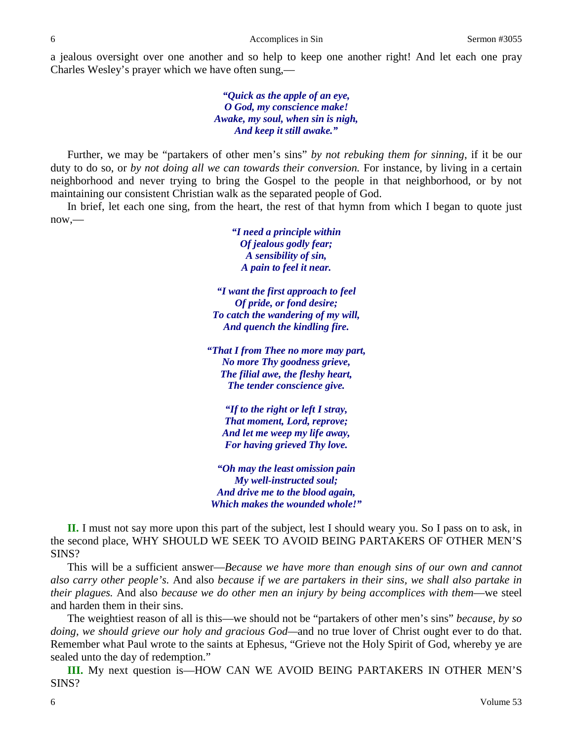a jealous oversight over one another and so help to keep one another right! And let each one pray Charles Wesley's prayer which we have often sung,—

> *"Quick as the apple of an eye, O God, my conscience make! Awake, my soul, when sin is nigh, And keep it still awake."*

Further, we may be "partakers of other men's sins" *by not rebuking them for sinning*, if it be our duty to do so, or *by not doing all we can towards their conversion.* For instance, by living in a certain neighborhood and never trying to bring the Gospel to the people in that neighborhood, or by not maintaining our consistent Christian walk as the separated people of God.

In brief, let each one sing, from the heart, the rest of that hymn from which I began to quote just now,—

> *"I need a principle within Of jealous godly fear; A sensibility of sin, A pain to feel it near.*

*"I want the first approach to feel Of pride, or fond desire; To catch the wandering of my will, And quench the kindling fire.*

*"That I from Thee no more may part, No more Thy goodness grieve, The filial awe, the fleshy heart, The tender conscience give.*

*"If to the right or left I stray, That moment, Lord, reprove; And let me weep my life away, For having grieved Thy love.*

*"Oh may the least omission pain My well-instructed soul; And drive me to the blood again, Which makes the wounded whole!"*

**II.** I must not say more upon this part of the subject, lest I should weary you. So I pass on to ask, in the second place, WHY SHOULD WE SEEK TO AVOID BEING PARTAKERS OF OTHER MEN'S SINS?

This will be a sufficient answer—*Because we have more than enough sins of our own and cannot also carry other people's.* And also *because if we are partakers in their sins, we shall also partake in their plagues.* And also *because we do other men an injury by being accomplices with them*—we steel and harden them in their sins.

The weightiest reason of all is this—we should not be "partakers of other men's sins" *because, by so doing, we should grieve our holy and gracious God—*and no true lover of Christ ought ever to do that. Remember what Paul wrote to the saints at Ephesus, "Grieve not the Holy Spirit of God, whereby ye are sealed unto the day of redemption."

**III.** My next question is—HOW CAN WE AVOID BEING PARTAKERS IN OTHER MEN'S SINS?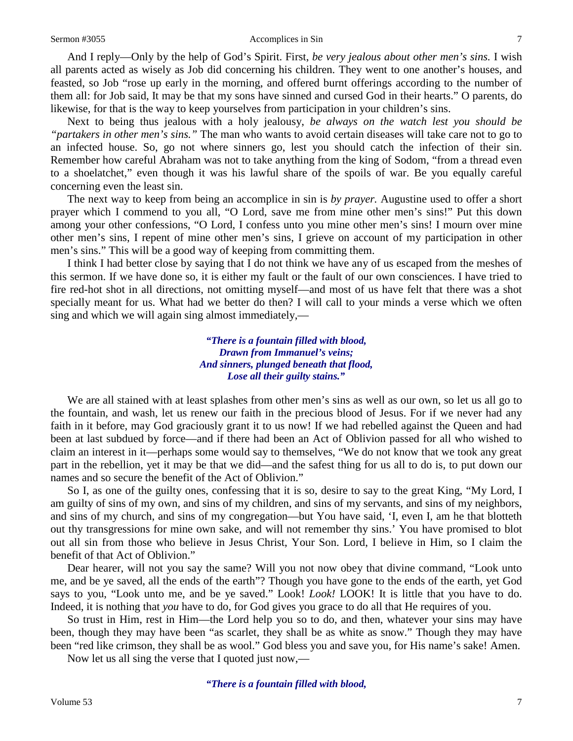## Sermon #3055 Accomplices in Sin 7

And I reply—Only by the help of God's Spirit. First, *be very jealous about other men's sins.* I wish all parents acted as wisely as Job did concerning his children. They went to one another's houses, and feasted, so Job "rose up early in the morning, and offered burnt offerings according to the number of them all: for Job said, It may be that my sons have sinned and cursed God in their hearts." O parents, do likewise, for that is the way to keep yourselves from participation in your children's sins.

Next to being thus jealous with a holy jealousy, *be always on the watch lest you should be "partakers in other men's sins."* The man who wants to avoid certain diseases will take care not to go to an infected house. So, go not where sinners go, lest you should catch the infection of their sin. Remember how careful Abraham was not to take anything from the king of Sodom, "from a thread even to a shoelatchet," even though it was his lawful share of the spoils of war. Be you equally careful concerning even the least sin.

The next way to keep from being an accomplice in sin is *by prayer.* Augustine used to offer a short prayer which I commend to you all, "O Lord, save me from mine other men's sins!" Put this down among your other confessions, "O Lord, I confess unto you mine other men's sins! I mourn over mine other men's sins, I repent of mine other men's sins, I grieve on account of my participation in other men's sins." This will be a good way of keeping from committing them.

I think I had better close by saying that I do not think we have any of us escaped from the meshes of this sermon. If we have done so, it is either my fault or the fault of our own consciences. I have tried to fire red-hot shot in all directions, not omitting myself—and most of us have felt that there was a shot specially meant for us. What had we better do then? I will call to your minds a verse which we often sing and which we will again sing almost immediately,—

> *"There is a fountain filled with blood, Drawn from Immanuel's veins; And sinners, plunged beneath that flood, Lose all their guilty stains."*

We are all stained with at least splashes from other men's sins as well as our own, so let us all go to the fountain, and wash, let us renew our faith in the precious blood of Jesus. For if we never had any faith in it before, may God graciously grant it to us now! If we had rebelled against the Queen and had been at last subdued by force—and if there had been an Act of Oblivion passed for all who wished to claim an interest in it—perhaps some would say to themselves, "We do not know that we took any great part in the rebellion, yet it may be that we did—and the safest thing for us all to do is, to put down our names and so secure the benefit of the Act of Oblivion."

So I, as one of the guilty ones, confessing that it is so, desire to say to the great King, "My Lord, I am guilty of sins of my own, and sins of my children, and sins of my servants, and sins of my neighbors, and sins of my church, and sins of my congregation—but You have said, 'I, even I, am he that blotteth out thy transgressions for mine own sake, and will not remember thy sins.' You have promised to blot out all sin from those who believe in Jesus Christ, Your Son. Lord, I believe in Him, so I claim the benefit of that Act of Oblivion."

Dear hearer, will not you say the same? Will you not now obey that divine command, "Look unto me, and be ye saved, all the ends of the earth"? Though you have gone to the ends of the earth, yet God says to you, "Look unto me, and be ye saved." Look! *Look!* LOOK! It is little that you have to do. Indeed, it is nothing that *you* have to do, for God gives you grace to do all that He requires of you.

So trust in Him, rest in Him—the Lord help you so to do, and then, whatever your sins may have been, though they may have been "as scarlet, they shall be as white as snow." Though they may have been "red like crimson, they shall be as wool." God bless you and save you, for His name's sake! Amen.

Now let us all sing the verse that I quoted just now,—

*"There is a fountain filled with blood,*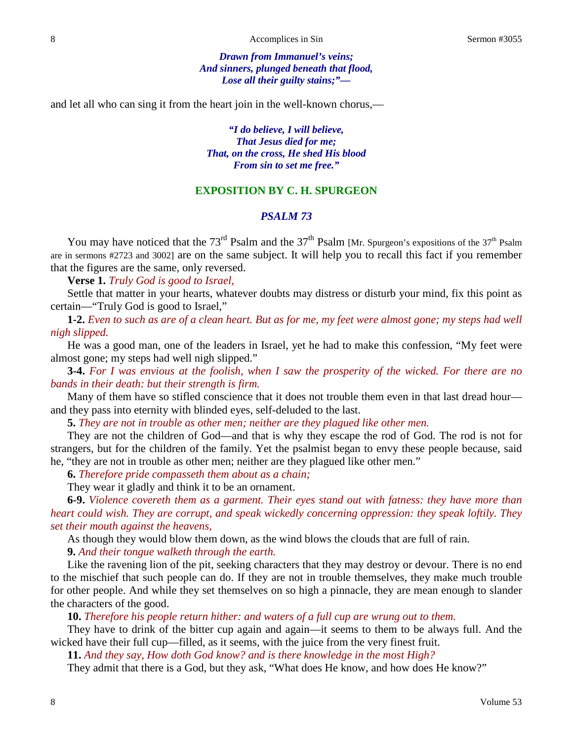*Drawn from Immanuel's veins; And sinners, plunged beneath that flood, Lose all their guilty stains;"—*

and let all who can sing it from the heart join in the well-known chorus,—

*"I do believe, I will believe, That Jesus died for me; That, on the cross, He shed His blood From sin to set me free."*

# **EXPOSITION BY C. H. SPURGEON**

# *PSALM 73*

You may have noticed that the 73<sup>rd</sup> Psalm and the 37<sup>th</sup> Psalm [Mr. Spurgeon's expositions of the 37<sup>th</sup> Psalm are in sermons #2723 and 3002] are on the same subject. It will help you to recall this fact if you remember that the figures are the same, only reversed.

**Verse 1.** *Truly God is good to Israel,*

Settle that matter in your hearts, whatever doubts may distress or disturb your mind, fix this point as certain—"Truly God is good to Israel,"

**1-2.** *Even to such as are of a clean heart. But as for me, my feet were almost gone; my steps had well nigh slipped.*

He was a good man, one of the leaders in Israel, yet he had to make this confession, "My feet were almost gone; my steps had well nigh slipped."

**3-4.** *For I was envious at the foolish, when I saw the prosperity of the wicked. For there are no bands in their death: but their strength is firm.*

Many of them have so stifled conscience that it does not trouble them even in that last dread hour and they pass into eternity with blinded eyes, self-deluded to the last.

**5.** *They are not in trouble as other men; neither are they plagued like other men.*

They are not the children of God—and that is why they escape the rod of God. The rod is not for strangers, but for the children of the family. Yet the psalmist began to envy these people because, said he, "they are not in trouble as other men; neither are they plagued like other men."

**6.** *Therefore pride compasseth them about as a chain;*

They wear it gladly and think it to be an ornament.

**6-9.** *Violence covereth them as a garment. Their eyes stand out with fatness: they have more than heart could wish. They are corrupt, and speak wickedly concerning oppression: they speak loftily. They set their mouth against the heavens,*

As though they would blow them down, as the wind blows the clouds that are full of rain.

**9.** *And their tongue walketh through the earth.*

Like the ravening lion of the pit, seeking characters that they may destroy or devour. There is no end to the mischief that such people can do. If they are not in trouble themselves, they make much trouble for other people. And while they set themselves on so high a pinnacle, they are mean enough to slander the characters of the good.

**10.** *Therefore his people return hither: and waters of a full cup are wrung out to them.*

They have to drink of the bitter cup again and again—it seems to them to be always full. And the wicked have their full cup—filled, as it seems, with the juice from the very finest fruit.

**11.** *And they say, How doth God know? and is there knowledge in the most High?*

They admit that there is a God, but they ask, "What does He know, and how does He know?"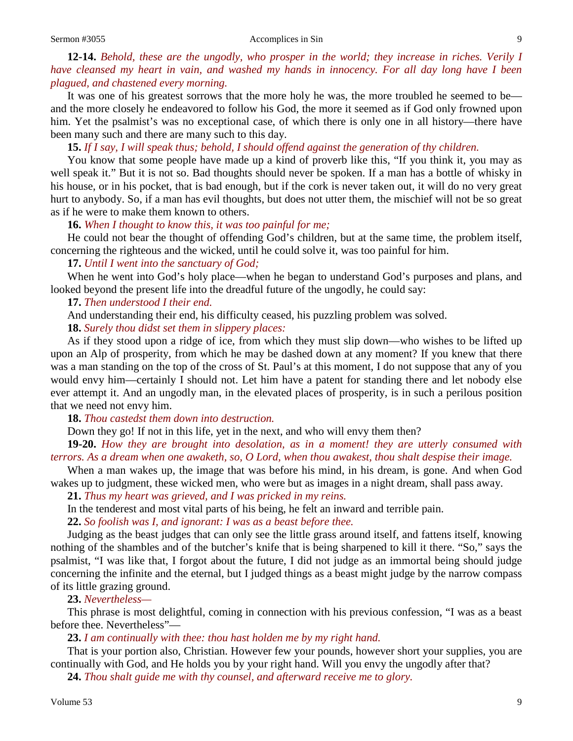#### Sermon #3055 Accomplices in Sin 9

# **12-14.** *Behold, these are the ungodly, who prosper in the world; they increase in riches. Verily I have cleansed my heart in vain, and washed my hands in innocency. For all day long have I been plagued, and chastened every morning.*

It was one of his greatest sorrows that the more holy he was, the more troubled he seemed to be and the more closely he endeavored to follow his God, the more it seemed as if God only frowned upon him. Yet the psalmist's was no exceptional case, of which there is only one in all history—there have been many such and there are many such to this day.

## **15.** *If I say, I will speak thus; behold, I should offend against the generation of thy children.*

You know that some people have made up a kind of proverb like this, "If you think it, you may as well speak it." But it is not so. Bad thoughts should never be spoken. If a man has a bottle of whisky in his house, or in his pocket, that is bad enough, but if the cork is never taken out, it will do no very great hurt to anybody. So, if a man has evil thoughts, but does not utter them, the mischief will not be so great as if he were to make them known to others.

## **16.** *When I thought to know this, it was too painful for me;*

He could not bear the thought of offending God's children, but at the same time, the problem itself, concerning the righteous and the wicked, until he could solve it, was too painful for him.

## **17.** *Until I went into the sanctuary of God;*

When he went into God's holy place—when he began to understand God's purposes and plans, and looked beyond the present life into the dreadful future of the ungodly, he could say:

### **17.** *Then understood I their end.*

And understanding their end, his difficulty ceased, his puzzling problem was solved.

**18.** *Surely thou didst set them in slippery places:*

As if they stood upon a ridge of ice, from which they must slip down—who wishes to be lifted up upon an Alp of prosperity, from which he may be dashed down at any moment? If you knew that there was a man standing on the top of the cross of St. Paul's at this moment, I do not suppose that any of you would envy him—certainly I should not. Let him have a patent for standing there and let nobody else ever attempt it. And an ungodly man, in the elevated places of prosperity, is in such a perilous position that we need not envy him.

**18.** *Thou castedst them down into destruction.*

Down they go! If not in this life, yet in the next, and who will envy them then?

**19-20.** *How they are brought into desolation, as in a moment! they are utterly consumed with terrors. As a dream when one awaketh, so, O Lord, when thou awakest, thou shalt despise their image.*

When a man wakes up, the image that was before his mind, in his dream, is gone. And when God wakes up to judgment, these wicked men, who were but as images in a night dream, shall pass away.

**21.** *Thus my heart was grieved, and I was pricked in my reins.*

In the tenderest and most vital parts of his being, he felt an inward and terrible pain.

**22.** *So foolish was I, and ignorant: I was as a beast before thee.*

Judging as the beast judges that can only see the little grass around itself, and fattens itself, knowing nothing of the shambles and of the butcher's knife that is being sharpened to kill it there. "So," says the psalmist, "I was like that, I forgot about the future, I did not judge as an immortal being should judge concerning the infinite and the eternal, but I judged things as a beast might judge by the narrow compass of its little grazing ground.

# **23.** *Nevertheless—*

This phrase is most delightful, coming in connection with his previous confession, "I was as a beast before thee. Nevertheless"—

# **23.** *I am continually with thee: thou hast holden me by my right hand.*

That is your portion also, Christian. However few your pounds, however short your supplies, you are continually with God, and He holds you by your right hand. Will you envy the ungodly after that?

**24.** *Thou shalt guide me with thy counsel, and afterward receive me to glory.*